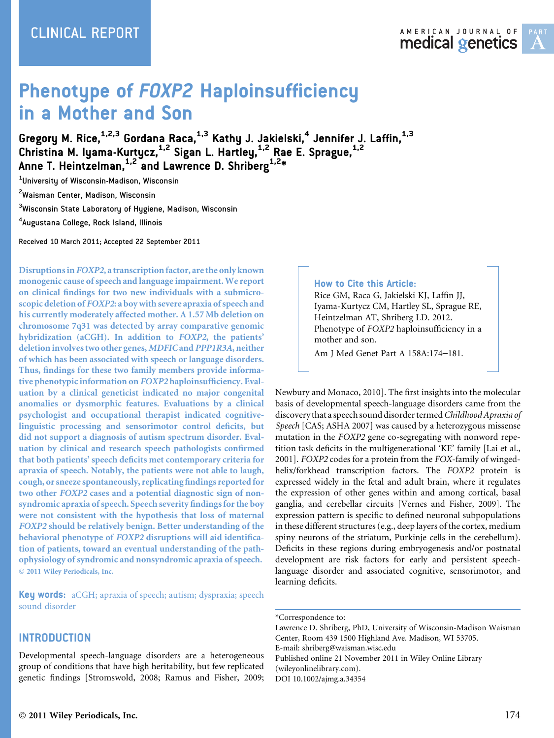# **Phenotype of FOXP2 Haploinsufficiency** in a Mother and Son

Gregory M. Rice, $^{\rm 1,2,3}$  Gordana Raca, $^{\rm 1,3}$  Kathy J. Jakielski, $^{\rm 4}$  Jennifer J. Laffin, $^{\rm 1,3}$ Christina M. Iyama-Kurtycz,<sup>1,2</sup> Sigan L. Hartley,<sup>1,2</sup> Rae E. Sprague,<sup>1,2</sup> Anne T. Heintzelman,  $1.2$  and Lawrence D. Shriberg  $1.2*$ 

1 University of Wisconsin-Madison, Wisconsin

<sup>2</sup>Waisman Center, Madison, Wisconsin

 $^3$ Wisconsin State Laboratory of Hygiene, Madison, Wisconsin

4 Augustana College, Rock Island, Illinois

Received 10 March 2011; Accepted 22 September 2011

Disruptions in FOXP2, a transcription factor, are the only known monogenic cause of speech and language impairment. We report on clinical findings for two new individuals with a submicroscopic deletion of FOXP2: a boy with severe apraxia of speech and his currently moderately affected mother. A 1.57 Mb deletion on chromosome 7q31 was detected by array comparative genomic hybridization (aCGH). In addition to FOXP2, the patients' deletion involves two other genes, MDFICand PPP1R3A, neither of which has been associated with speech or language disorders. Thus, findings for these two family members provide informative phenotypic information on FOXP2 haploinsufficiency. Evaluation by a clinical geneticist indicated no major congenital anomalies or dysmorphic features. Evaluations by a clinical psychologist and occupational therapist indicated cognitivelinguistic processing and sensorimotor control deficits, but did not support a diagnosis of autism spectrum disorder. Evaluation by clinical and research speech pathologists confirmed that both patients' speech deficits met contemporary criteria for apraxia of speech. Notably, the patients were not able to laugh, cough, or sneeze spontaneously, replicating findings reported for two other FOXP2 cases and a potential diagnostic sign of nonsyndromic apraxia of speech. Speech severity findings for the boy were not consistent with the hypothesis that loss of maternal FOXP2 should be relatively benign. Better understanding of the behavioral phenotype of FOXP2 disruptions will aid identification of patients, toward an eventual understanding of the pathophysiology of syndromic and nonsyndromic apraxia of speech. 2011 Wiley Periodicals, Inc.

Key words: aCGH; apraxia of speech; autism; dyspraxia; speech sound disorder

### **INTRODUCTION**

Developmental speech-language disorders are a heterogeneous group of conditions that have high heritability, but few replicated genetic findings [Stromswold, 2008; Ramus and Fisher, 2009;

# How to Cite this Article:

Rice GM, Raca G, Jakielski KJ, Laffin JJ, Iyama-Kurtycz CM, Hartley SL, Sprague RE, Heintzelman AT, Shriberg LD. 2012. Phenotype of FOXP2 haploinsufficiency in a mother and son.

Am J Med Genet Part A 158A:174–181.

Newbury and Monaco, 2010]. The first insights into the molecular basis of developmental speech-language disorders came from the discovery that a speech sound disorder termed Childhood Apraxia of Speech [CAS; ASHA 2007] was caused by a heterozygous missense mutation in the FOXP2 gene co-segregating with nonword repetition task deficits in the multigenerational 'KE' family [Lai et al., 2001]. FOXP2 codes for a protein from the FOX-family of wingedhelix/forkhead transcription factors. The FOXP2 protein is expressed widely in the fetal and adult brain, where it regulates the expression of other genes within and among cortical, basal ganglia, and cerebellar circuits [Vernes and Fisher, 2009]. The expression pattern is specific to defined neuronal subpopulations in these different structures (e.g., deep layers of the cortex, medium spiny neurons of the striatum, Purkinje cells in the cerebellum). Deficits in these regions during embryogenesis and/or postnatal development are risk factors for early and persistent speechlanguage disorder and associated cognitive, sensorimotor, and learning deficits.

Lawrence D. Shriberg, PhD, University of Wisconsin-Madison Waisman Center, Room 439 1500 Highland Ave. Madison, WI 53705. E-mail: shriberg@waisman.wisc.edu Published online 21 November 2011 in Wiley Online Library (wileyonlinelibrary.com). DOI 10.1002/ajmg.a.34354

<sup>\*</sup>Correspondence to: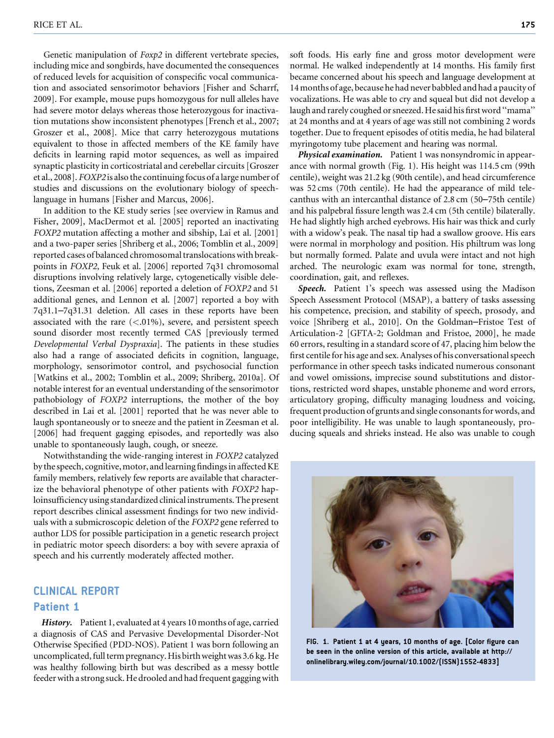Genetic manipulation of Foxp2 in different vertebrate species, including mice and songbirds, have documented the consequences of reduced levels for acquisition of conspecific vocal communication and associated sensorimotor behaviors [Fisher and Scharrf, 2009]. For example, mouse pups homozygous for null alleles have had severe motor delays whereas those heterozygous for inactivation mutations show inconsistent phenotypes [French et al., 2007; Groszer et al., 2008]. Mice that carry heterozygous mutations equivalent to those in affected members of the KE family have deficits in learning rapid motor sequences, as well as impaired synaptic plasticity in corticostriatal and cerebellar circuits [Groszer et al., 2008]. FOXP2 is also the continuing focus of a large number of studies and discussions on the evolutionary biology of speechlanguage in humans [Fisher and Marcus, 2006].

In addition to the KE study series [see overview in Ramus and Fisher, 2009], MacDermot et al. [2005] reported an inactivating FOXP2 mutation affecting a mother and sibship, Lai et al. [2001] and a two-paper series [Shriberg et al., 2006; Tomblin et al., 2009] reported cases of balanced chromosomal translocations with breakpoints in FOXP2, Feuk et al. [2006] reported 7q31 chromosomal disruptions involving relatively large, cytogenetically visible deletions, Zeesman et al. [2006] reported a deletion of FOXP2 and 51 additional genes, and Lennon et al. [2007] reported a boy with 7q31.1–7q31.31 deletion. All cases in these reports have been associated with the rare  $(<.01\%)$ , severe, and persistent speech sound disorder most recently termed CAS [previously termed Developmental Verbal Dyspraxia]. The patients in these studies also had a range of associated deficits in cognition, language, morphology, sensorimotor control, and psychosocial function [Watkins et al., 2002; Tomblin et al., 2009; Shriberg, 2010a]. Of notable interest for an eventual understanding of the sensorimotor pathobiology of FOXP2 interruptions, the mother of the boy described in Lai et al. [2001] reported that he was never able to laugh spontaneously or to sneeze and the patient in Zeesman et al. [2006] had frequent gagging episodes, and reportedly was also unable to spontaneously laugh, cough, or sneeze.

Notwithstanding the wide-ranging interest in FOXP2 catalyzed by the speech, cognitive, motor, and learning findings in affected KE family members, relatively few reports are available that characterize the behavioral phenotype of other patients with FOXP2 haploinsufficiency using standardized clinical instruments. The present report describes clinical assessment findings for two new individuals with a submicroscopic deletion of the FOXP2 gene referred to author LDS for possible participation in a genetic research project in pediatric motor speech disorders: a boy with severe apraxia of speech and his currently moderately affected mother.

## CLINICAL REPORT

#### Patient 1

History. Patient 1, evaluated at 4 years 10 months of age, carried a diagnosis of CAS and Pervasive Developmental Disorder-Not Otherwise Specified (PDD-NOS). Patient 1 was born following an uncomplicated, full term pregnancy. His birth weight was 3.6 kg. He was healthy following birth but was described as a messy bottle feeder with a strong suck. He drooled and had frequent gagging with soft foods. His early fine and gross motor development were normal. He walked independently at 14 months. His family first became concerned about his speech and language development at 14 months of age, because he had never babbled and had a paucity of vocalizations. He was able to cry and squeal but did not develop a laugh and rarely coughed or sneezed. He said his first word ''mama'' at 24 months and at 4 years of age was still not combining 2 words together. Due to frequent episodes of otitis media, he had bilateral myringotomy tube placement and hearing was normal.

Physical examination. Patient 1 was nonsyndromic in appearance with normal growth (Fig. 1). His height was 114.5 cm (99th centile), weight was 21.2 kg (90th centile), and head circumference was 52 cms (70th centile). He had the appearance of mild telecanthus with an intercanthal distance of 2.8 cm (50–75th centile) and his palpebral fissure length was 2.4 cm (5th centile) bilaterally. He had slightly high arched eyebrows. His hair was thick and curly with a widow's peak. The nasal tip had a swallow groove. His ears were normal in morphology and position. His philtrum was long but normally formed. Palate and uvula were intact and not high arched. The neurologic exam was normal for tone, strength, coordination, gait, and reflexes.

Speech. Patient 1's speech was assessed using the Madison Speech Assessment Protocol (MSAP), a battery of tasks assessing his competence, precision, and stability of speech, prosody, and voice [Shriberg et al., 2010]. On the Goldman–Fristoe Test of Articulation-2 [GFTA-2; Goldman and Fristoe, 2000], he made 60 errors, resulting in a standard score of 47, placing him below the first centile for his age and sex. Analyses of his conversational speech performance in other speech tasks indicated numerous consonant and vowel omissions, imprecise sound substitutions and distortions, restricted word shapes, unstable phoneme and word errors, articulatory groping, difficulty managing loudness and voicing, frequent production of grunts and single consonants for words, and poor intelligibility. He was unable to laugh spontaneously, producing squeals and shrieks instead. He also was unable to cough



FIG. 1. Patient 1 at 4 years, 10 months of age. [Color figure can be seen in the online version of this article, available at http:// onlinelibrary.wiley.com/journal/10.1002/(ISSN)1552-4833]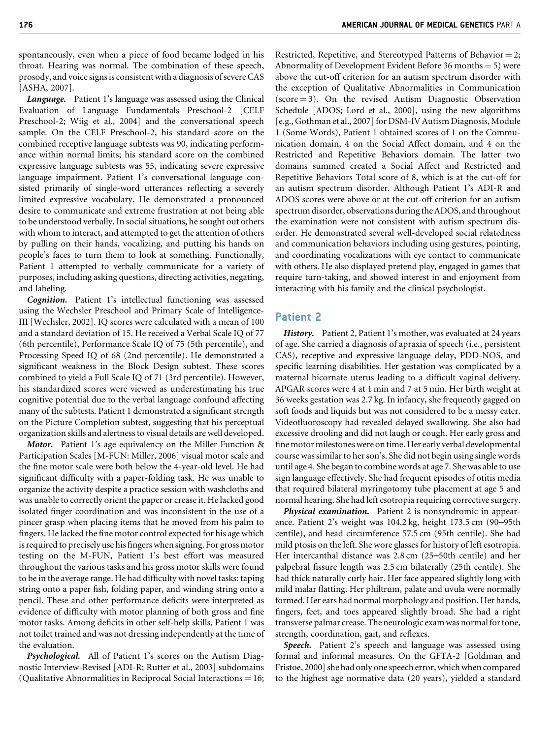spontaneously, even when a piece of food became lodged in his throat. Hearing was normal. The combination of these speech, prosody, and voice signs is consistent with a diagnosis of severe CAS [ASHA, 2007].

Language. Patient 1's language was assessed using the Clinical Evaluation of Language Fundamentals Preschool-2 [CELF Preschool-2; Wiig et al., 2004] and the conversational speech sample. On the CELF Preschool-2, his standard score on the combined receptive language subtests was 90, indicating performance within normal limits; his standard score on the combined expressive language subtests was 55, indicating severe expressive language impairment. Patient 1's conversational language consisted primarily of single-word utterances reflecting a severely limited expressive vocabulary. He demonstrated a pronounced desire to communicate and extreme frustration at not being able to be understood verbally. In social situations, he sought out others with whom to interact, and attempted to get the attention of others by pulling on their hands, vocalizing, and putting his hands on people's faces to turn them to look at something. Functionally, Patient 1 attempted to verbally communicate for a variety of purposes, including asking questions, directing activities, negating, and labeling.

Cognition. Patient 1's intellectual functioning was assessed using the Wechsler Preschool and Primary Scale of Intelligence-III [Wechsler, 2002]. IQ scores were calculated with a mean of 100 and a standard deviation of 15. He received a Verbal Scale IQ of 77 (6th percentile), Performance Scale IQ of 75 (5th percentile), and Processing Speed IQ of 68 (2nd percentile). He demonstrated a significant weakness in the Block Design subtest. These scores combined to yield a Full Scale IQ of 71 (3rd percentile). However, his standardized scores were viewed as underestimating his true cognitive potential due to the verbal language confound affecting many of the subtests. Patient 1 demonstrated a significant strength on the Picture Completion subtest, suggesting that his perceptual organization skills and alertness to visual details are well developed.

Motor. Patient 1's age equivalency on the Miller Function & Participation Scales [M-FUN: Miller, 2006] visual motor scale and the fine motor scale were both below the 4-year-old level. He had significant difficulty with a paper-folding task. He was unable to organize the activity despite a practice session with washcloths and was unable to correctly orient the paper or crease it. He lacked good isolated finger coordination and was inconsistent in the use of a pincer grasp when placing items that he moved from his palm to fingers. He lacked the fine motor control expected for his age which is required to precisely use his fingers when signing. For gross motor testing on the M-FUN, Patient 1's best effort was measured throughout the various tasks and his gross motor skills were found to be in the average range. He had difficulty with novel tasks: taping string onto a paper fish, folding paper, and winding string onto a pencil. These and other performance deficits were interpreted as evidence of difficulty with motor planning of both gross and fine motor tasks. Among deficits in other self-help skills, Patient 1 was not toilet trained and was not dressing independently at the time of the evaluation.

Psychological. All of Patient 1's scores on the Autism Diagnostic Interview-Revised [ADI-R; Rutter et al., 2003] subdomains (Qualitative Abnormalities in Reciprocal Social Interactions  $= 16$ ; Restricted, Repetitive, and Stereotyped Patterns of Behavior = 2; Abnormality of Development Evident Before 36 months  $= 5$ ) were above the cut-off criterion for an autism spectrum disorder with the exception of Qualitative Abnormalities in Communication  $(score = 3)$ . On the revised Autism Diagnostic Observation Schedule [ADOS; Lord et al., 2000], using the new algorithms [e.g., Gothman et al., 2007] for DSM-IV Autism Diagnosis, Module 1 (Some Words), Patient 1 obtained scores of 1 on the Communication domain, 4 on the Social Affect domain, and 4 on the Restricted and Repetitive Behaviors domain. The latter two domains summed created a Social Affect and Restricted and Repetitive Behaviors Total score of 8, which is at the cut-off for an autism spectrum disorder. Although Patient 1's ADI-R and ADOS scores were above or at the cut-off criterion for an autism spectrum disorder, observations during the ADOS, and throughout the examination were not consistent with autism spectrum disorder. He demonstrated several well-developed social relatedness and communication behaviors including using gestures, pointing, and coordinating vocalizations with eye contact to communicate with others. He also displayed pretend play, engaged in games that require turn-taking, and showed interest in and enjoyment from interacting with his family and the clinical psychologist.

#### Patient 2

History. Patient 2, Patient 1's mother, was evaluated at 24 years of age. She carried a diagnosis of apraxia of speech (i.e., persistent CAS), receptive and expressive language delay, PDD-NOS, and specific learning disabilities. Her gestation was complicated by a maternal bicornate uterus leading to a difficult vaginal delivery. APGAR scores were 4 at 1 min and 7 at 5 min. Her birth weight at 36 weeks gestation was 2.7 kg. In infancy, she frequently gagged on soft foods and liquids but was not considered to be a messy eater. Videofluoroscopy had revealed delayed swallowing. She also had excessive drooling and did not laugh or cough. Her early gross and fine motor milestones were on time. Her early verbal developmental course was similar to her son's. She did not begin using single words until age 4. She began to combine words at age 7. She was able to use sign language effectively. She had frequent episodes of otitis media that required bilateral myringotomy tube placement at age 5 and normal hearing. She had left esotropia requiring corrective surgery.

Physical examination. Patient 2 is nonsyndromic in appearance. Patient 2's weight was 104.2 kg, height 173.5 cm (90–95th centile), and head circumference 57.5 cm (95th centile). She had mild ptosis on the left. She wore glasses for history of left esotropia. Her intercanthal distance was 2.8 cm (25–50th centile) and her palpebral fissure length was 2.5 cm bilaterally (25th centile). She had thick naturally curly hair. Her face appeared slightly long with mild malar flatting. Her philtrum, palate and uvula were normally formed. Her ears had normal morphology and position. Her hands, fingers, feet, and toes appeared slightly broad. She had a right transverse palmar crease. The neurologic exam was normalfor tone, strength, coordination, gait, and reflexes.

Speech. Patient 2's speech and language was assessed using formal and informal measures. On the GFTA-2 [Goldman and Fristoe, 2000] she had only one speech error, which when compared to the highest age normative data (20 years), yielded a standard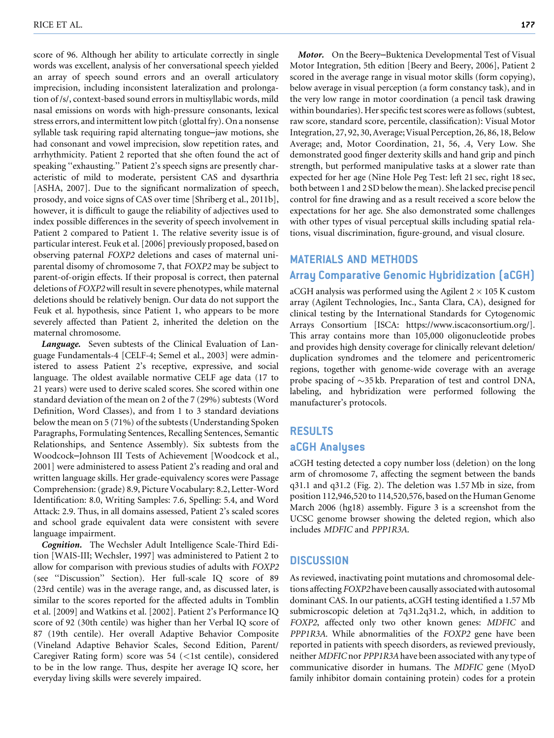score of 96. Although her ability to articulate correctly in single words was excellent, analysis of her conversational speech yielded an array of speech sound errors and an overall articulatory imprecision, including inconsistent lateralization and prolongation of /s/, context-based sound errors in multisyllabic words, mild nasal emissions on words with high-pressure consonants, lexical stress errors, and intermittent low pitch (glottal fry). On a nonsense syllable task requiring rapid alternating tongue–jaw motions, she had consonant and vowel imprecision, slow repetition rates, and arrhythmicity. Patient 2 reported that she often found the act of speaking ''exhausting.'' Patient 2's speech signs are presently characteristic of mild to moderate, persistent CAS and dysarthria [ASHA, 2007]. Due to the significant normalization of speech, prosody, and voice signs of CAS over time [Shriberg et al., 2011b], however, it is difficult to gauge the reliability of adjectives used to index possible differences in the severity of speech involvement in Patient 2 compared to Patient 1. The relative severity issue is of particular interest. Feuk et al. [2006] previously proposed, based on observing paternal FOXP2 deletions and cases of maternal uniparental disomy of chromosome 7, that FOXP2 may be subject to parent-of-origin effects. If their proposal is correct, then paternal deletions of FOXP2 will result in severe phenotypes, while maternal deletions should be relatively benign. Our data do not support the Feuk et al. hypothesis, since Patient 1, who appears to be more severely affected than Patient 2, inherited the deletion on the maternal chromosome.

Language. Seven subtests of the Clinical Evaluation of Language Fundamentals-4 [CELF-4; Semel et al., 2003] were administered to assess Patient 2's receptive, expressive, and social language. The oldest available normative CELF age data (17 to 21 years) were used to derive scaled scores. She scored within one standard deviation of the mean on 2 of the 7 (29%) subtests (Word Definition, Word Classes), and from 1 to 3 standard deviations below the mean on 5 (71%) of the subtests (Understanding Spoken Paragraphs, Formulating Sentences, Recalling Sentences, Semantic Relationships, and Sentence Assembly). Six subtests from the Woodcock–Johnson III Tests of Achievement [Woodcock et al., 2001] were administered to assess Patient 2's reading and oral and written language skills. Her grade-equivalency scores were Passage Comprehension: (grade) 8.9, Picture Vocabulary: 8.2, Letter-Word Identification: 8.0, Writing Samples: 7.6, Spelling: 5.4, and Word Attack: 2.9. Thus, in all domains assessed, Patient 2's scaled scores and school grade equivalent data were consistent with severe language impairment.

Cognition. The Wechsler Adult Intelligence Scale-Third Edition [WAIS-III; Wechsler, 1997] was administered to Patient 2 to allow for comparison with previous studies of adults with FOXP2 (see ''Discussion'' Section). Her full-scale IQ score of 89 (23rd centile) was in the average range, and, as discussed later, is similar to the scores reported for the affected adults in Tomblin et al. [2009] and Watkins et al. [2002]. Patient 2's Performance IQ score of 92 (30th centile) was higher than her Verbal IQ score of 87 (19th centile). Her overall Adaptive Behavior Composite (Vineland Adaptive Behavior Scales, Second Edition, Parent/ Caregiver Rating form) score was  $54$  (<1st centile), considered to be in the low range. Thus, despite her average IQ score, her everyday living skills were severely impaired.

Motor. On the Beery–Buktenica Developmental Test of Visual Motor Integration, 5th edition [Beery and Beery, 2006], Patient 2 scored in the average range in visual motor skills (form copying), below average in visual perception (a form constancy task), and in the very low range in motor coordination (a pencil task drawing within boundaries). Her specific test scores were as follows (subtest, raw score, standard score, percentile, classification): Visual Motor Integration, 27, 92, 30, Average; Visual Perception, 26, 86, 18, Below Average; and, Motor Coordination, 21, 56, .4, Very Low. She demonstrated good finger dexterity skills and hand grip and pinch strength, but performed manipulative tasks at a slower rate than expected for her age (Nine Hole Peg Test: left 21 sec, right 18 sec, both between 1 and 2 SD below the mean). She lacked precise pencil control for fine drawing and as a result received a score below the expectations for her age. She also demonstrated some challenges with other types of visual perceptual skills including spatial relations, visual discrimination, figure-ground, and visual closure.

#### MATERIALS AND METHODS

# Array Comparative Genomic Hybridization (aCGH)

aCGH analysis was performed using the Agilent  $2 \times 105$  K custom array (Agilent Technologies, Inc., Santa Clara, CA), designed for clinical testing by the International Standards for Cytogenomic Arrays Consortium [ISCA: https://www.iscaconsortium.org/]. This array contains more than 105,000 oligonucleotide probes and provides high density coverage for clinically relevant deletion/ duplication syndromes and the telomere and pericentromeric regions, together with genome-wide coverage with an average probe spacing of  $\sim$ 35 kb. Preparation of test and control DNA, labeling, and hybridization were performed following the manufacturer's protocols.

# RESULTS aCGH Analyses

aCGH testing detected a copy number loss (deletion) on the long arm of chromosome 7, affecting the segment between the bands q31.1 and q31.2 (Fig. 2). The deletion was 1.57 Mb in size, from position 112,946,520 to 114,520,576, based on the Human Genome March 2006 (hg18) assembly. Figure 3 is a screenshot from the UCSC genome browser showing the deleted region, which also includes MDFIC and PPP1R3A.

#### **DISCUSSION**

As reviewed, inactivating point mutations and chromosomal deletions affecting FOXP2 have been causally associated with autosomal dominant CAS. In our patients, aCGH testing identified a 1.57 Mb submicroscopic deletion at 7q31.2q31.2, which, in addition to FOXP2, affected only two other known genes: MDFIC and PPP1R3A. While abnormalities of the FOXP2 gene have been reported in patients with speech disorders, as reviewed previously, neither MDFIC nor PPP1R3A have been associated with any type of communicative disorder in humans. The MDFIC gene (MyoD family inhibitor domain containing protein) codes for a protein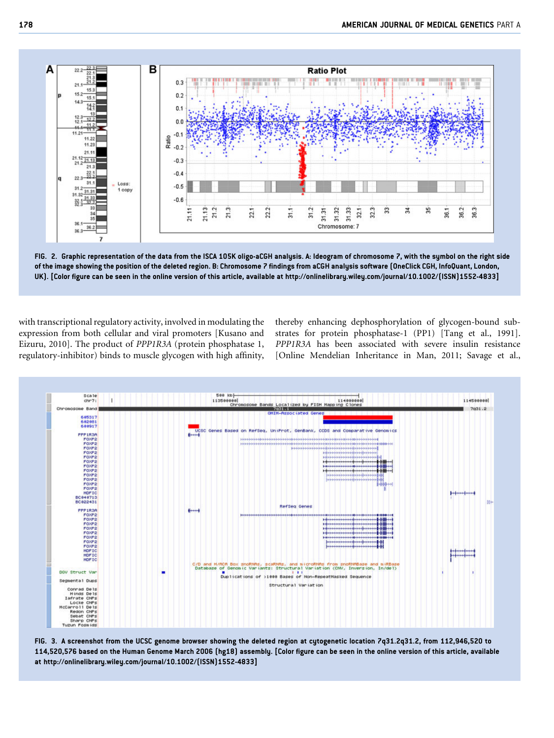

FIG. 2. Graphic representation of the data from the ISCA 105K oligo-aCGH analysis. A: Ideogram of chromosome 7, with the symbol on the right side of the image showing the position of the deleted region. B: Chromosome 7 findings from aCGH analysis software (OneClick CGH, InfoQuant, London, UK). [Color figure can be seen in the online version of this article, available at http://onlinelibrary.wiley.com/journal/10.1002/(ISSN)1552-4833]

with transcriptional regulatory activity, involved in modulating the expression from both cellular and viral promoters [Kusano and Eizuru, 2010]. The product of PPP1R3A (protein phosphatase 1, regulatory-inhibitor) binds to muscle glycogen with high affinity, thereby enhancing dephosphorylation of glycogen-bound substrates for protein phosphatase-1 (PP1) [Tang et al., 1991]. PPP1R3A has been associated with severe insulin resistance [Online Mendelian Inheritance in Man, 2011; Savage et al.,



FIG. 3. A screenshot from the UCSC genome browser showing the deleted region at cytogenetic location 7q31.2q31.2, from 112,946,520 to 114,520,576 based on the Human Genome March 2006 (hg18) assembly. [Color figure can be seen in the online version of this article, available at http://onlinelibrary.wiley.com/journal/10.1002/(ISSN)1552-4833]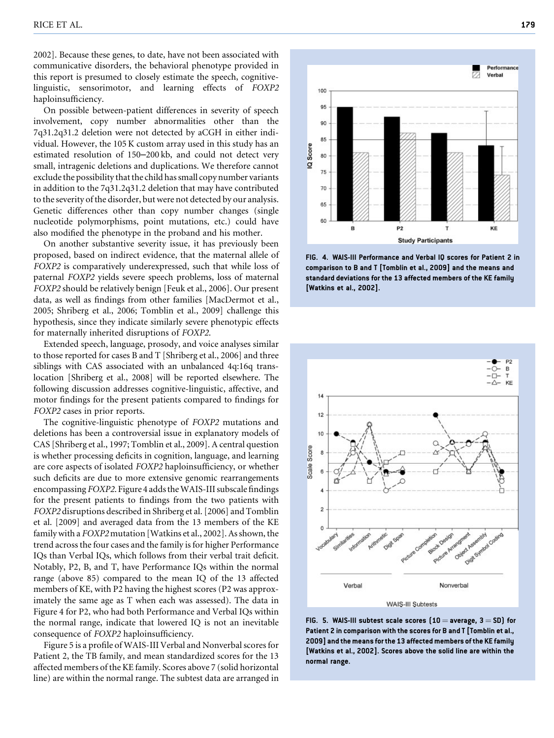2002]. Because these genes, to date, have not been associated with communicative disorders, the behavioral phenotype provided in this report is presumed to closely estimate the speech, cognitivelinguistic, sensorimotor, and learning effects of FOXP2 haploinsufficiency.

On possible between-patient differences in severity of speech involvement, copy number abnormalities other than the 7q31.2q31.2 deletion were not detected by aCGH in either individual. However, the 105 K custom array used in this study has an estimated resolution of 150–200 kb, and could not detect very small, intragenic deletions and duplications. We therefore cannot exclude the possibility that the child has small copy number variants in addition to the 7q31.2q31.2 deletion that may have contributed to the severity of the disorder, but were not detected by our analysis. Genetic differences other than copy number changes (single nucleotide polymorphisms, point mutations, etc.) could have also modified the phenotype in the proband and his mother.

On another substantive severity issue, it has previously been proposed, based on indirect evidence, that the maternal allele of FOXP2 is comparatively underexpressed, such that while loss of paternal FOXP2 yields severe speech problems, loss of maternal FOXP2 should be relatively benign [Feuk et al., 2006]. Our present data, as well as findings from other families [MacDermot et al., 2005; Shriberg et al., 2006; Tomblin et al., 2009] challenge this hypothesis, since they indicate similarly severe phenotypic effects for maternally inherited disruptions of FOXP2.

Extended speech, language, prosody, and voice analyses similar to those reported for cases B and T [Shriberg et al., 2006] and three siblings with CAS associated with an unbalanced 4q:16q translocation [Shriberg et al., 2008] will be reported elsewhere. The following discussion addresses cognitive-linguistic, affective, and motor findings for the present patients compared to findings for FOXP2 cases in prior reports.

The cognitive-linguistic phenotype of FOXP2 mutations and deletions has been a controversial issue in explanatory models of CAS [Shriberg et al., 1997; Tomblin et al., 2009]. A central question is whether processing deficits in cognition, language, and learning are core aspects of isolated FOXP2 haploinsufficiency, or whether such deficits are due to more extensive genomic rearrangements encompassing FOXP2. Figure 4 adds theWAIS-III subscale findings for the present patients to findings from the two patients with FOXP2 disruptions described in Shriberg et al. [2006] and Tomblin et al. [2009] and averaged data from the 13 members of the KE family with a FOXP2 mutation [Watkins et al., 2002]. As shown, the trend across the four cases and the family is for higher Performance IQs than Verbal IQs, which follows from their verbal trait deficit. Notably, P2, B, and T, have Performance IQs within the normal range (above 85) compared to the mean IQ of the 13 affected members of KE, with P2 having the highest scores (P2 was approximately the same age as T when each was assessed). The data in Figure 4 for P2, who had both Performance and Verbal IQs within the normal range, indicate that lowered IQ is not an inevitable consequence of FOXP2 haploinsufficiency.

Figure 5 is a profile of WAIS-III Verbal and Nonverbal scores for Patient 2, the TB family, and mean standardized scores for the 13 affected members of the KE family. Scores above 7 (solid horizontal line) are within the normal range. The subtest data are arranged in



FIG. 4. WAIS-III Performance and Verbal IQ scores for Patient 2 in comparison to B and T [Tomblin et al., 2009] and the means and standard deviations for the 13 affected members of the KE family [Watkins et al., 2002].



FIG. 5. WAIS-III subtest scale scores  $(10 =$  average,  $3 =$  SD) for Patient 2 in comparison with the scores for B and T [Tomblin et al., 2009] and the means for the 13 affected members of the KEfamily [Watkins et al., 2002]. Scores above the solid line are within the normal range.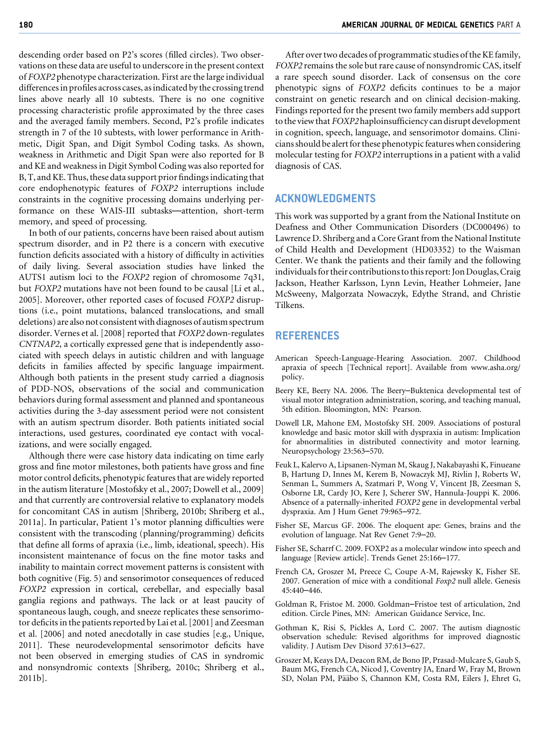descending order based on P2's scores (filled circles). Two observations on these data are useful to underscore in the present context of FOXP2 phenotype characterization. First are the large individual differences in profiles across cases, as indicated by the crossing trend lines above nearly all 10 subtests. There is no one cognitive processing characteristic profile approximated by the three cases and the averaged family members. Second, P2's profile indicates strength in 7 of the 10 subtests, with lower performance in Arithmetic, Digit Span, and Digit Symbol Coding tasks. As shown, weakness in Arithmetic and Digit Span were also reported for B and KE and weakness in Digit Symbol Coding was also reported for B, T, and KE. Thus, these data support prior findings indicating that core endophenotypic features of FOXP2 interruptions include constraints in the cognitive processing domains underlying performance on these WAIS-III subtasks—attention, short-term memory, and speed of processing.

In both of our patients, concerns have been raised about autism spectrum disorder, and in P2 there is a concern with executive function deficits associated with a history of difficulty in activities of daily living. Several association studies have linked the AUTS1 autism loci to the FOXP2 region of chromosome 7q31, but FOXP2 mutations have not been found to be causal [Li et al., 2005]. Moreover, other reported cases of focused FOXP2 disruptions (i.e., point mutations, balanced translocations, and small deletions) are also not consistent with diagnoses of autism spectrum disorder. Vernes et al. [2008] reported that FOXP2 down-regulates CNTNAP2, a cortically expressed gene that is independently associated with speech delays in autistic children and with language deficits in families affected by specific language impairment. Although both patients in the present study carried a diagnosis of PDD-NOS, observations of the social and communication behaviors during formal assessment and planned and spontaneous activities during the 3-day assessment period were not consistent with an autism spectrum disorder. Both patients initiated social interactions, used gestures, coordinated eye contact with vocalizations, and were socially engaged.

Although there were case history data indicating on time early gross and fine motor milestones, both patients have gross and fine motor control deficits, phenotypic features that are widely reported in the autism literature [Mostofsky et al., 2007; Dowell et al., 2009] and that currently are controversial relative to explanatory models for concomitant CAS in autism [Shriberg, 2010b; Shriberg et al., 2011a]. In particular, Patient 1's motor planning difficulties were consistent with the transcoding (planning/programming) deficits that define all forms of apraxia (i.e., limb, ideational, speech). His inconsistent maintenance of focus on the fine motor tasks and inability to maintain correct movement patterns is consistent with both cognitive (Fig. 5) and sensorimotor consequences of reduced FOXP2 expression in cortical, cerebellar, and especially basal ganglia regions and pathways. The lack or at least paucity of spontaneous laugh, cough, and sneeze replicates these sensorimotor deficits in the patients reported by Lai et al. [2001] and Zeesman et al. [2006] and noted anecdotally in case studies [e.g., Unique, 2011]. These neurodevelopmental sensorimotor deficits have not been observed in emerging studies of CAS in syndromic and nonsyndromic contexts [Shriberg, 2010c; Shriberg et al., 2011b].

After over two decades of programmatic studies of the KE family, FOXP2 remains the sole but rare cause of nonsyndromic CAS, itself a rare speech sound disorder. Lack of consensus on the core phenotypic signs of FOXP2 deficits continues to be a major constraint on genetic research and on clinical decision-making. Findings reported for the present two family members add support to the view that FOXP2 haploinsufficiency can disrupt development in cognition, speech, language, and sensorimotor domains. Clinicians should be alert for these phenotypic features when considering molecular testing for FOXP2 interruptions in a patient with a valid diagnosis of CAS.

#### ACKNOWLEDGMENTS

This work was supported by a grant from the National Institute on Deafness and Other Communication Disorders (DC000496) to Lawrence D. Shriberg and a Core Grant from the National Institute of Child Health and Development (HD03352) to the Waisman Center. We thank the patients and their family and the following individuals for their contributions to this report: Jon Douglas, Craig Jackson, Heather Karlsson, Lynn Levin, Heather Lohmeier, Jane McSweeny, Malgorzata Nowaczyk, Edythe Strand, and Christie Tilkens.

#### REFERENCES

- American Speech-Language-Hearing Association. 2007. Childhood apraxia of speech [Technical report]. Available from www.asha.org/ policy.
- Beery KE, Beery NA. 2006. The Beery–Buktenica developmental test of visual motor integration administration, scoring, and teaching manual, 5th edition. Bloomington, MN: Pearson.
- Dowell LR, Mahone EM, Mostofsky SH. 2009. Associations of postural knowledge and basic motor skill with dyspraxia in autism: Implication for abnormalities in distributed connectivity and motor learning. Neuropsychology 23:563–570.
- Feuk L, Kalervo A, Lipsanen-Nyman M, Skaug J, Nakabayashi K, Finueane B, Hartung D, Innes M, Kerem B, Nowaczyk MJ, Rivlin J, Roberts W, Senman L, Summers A, Szatmari P, Wong V, Vincent JB, Zeesman S, Osborne LR, Cardy JO, Kere J, Scherer SW, Hannula-Jouppi K. 2006. Absence of a paternally-inherited FOXP2 gene in developmental verbal dyspraxia. Am J Hum Genet 79:965–972.
- Fisher SE, Marcus GF. 2006. The eloquent ape: Genes, brains and the evolution of language. Nat Rev Genet 7:9–20.
- Fisher SE, Scharrf C. 2009. FOXP2 as a molecular window into speech and language [Review article]. Trends Genet 25:166–177.
- French CA, Groszer M, Preece C, Coupe A-M, Rajewsky K, Fisher SE. 2007. Generation of mice with a conditional Foxp2 null allele. Genesis 45:440–446.
- Goldman R, Fristoe M. 2000. Goldman–Fristoe test of articulation, 2nd edition. Circle Pines, MN: American Guidance Service, Inc.
- Gothman K, Risi S, Pickles A, Lord C. 2007. The autism diagnostic observation schedule: Revised algorithms for improved diagnostic validity. J Autism Dev Disord 37:613–627.
- Groszer M, Keays DA, Deacon RM, de Bono JP, Prasad-Mulcare S, Gaub S, Baum MG, French CA, Nicod J, Coventry JA, Enard W, Fray M, Brown SD, Nolan PM, Pääbo S, Channon KM, Costa RM, Eilers J, Ehret G,